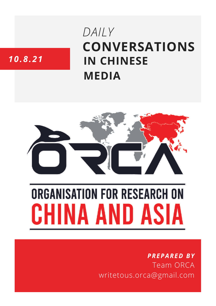# **CONVERSATIONS IN CHINESE MEDIA** *DAILY*

# *10.8.21*



# **ORGANISATION FOR RESEARCH ON** HINA AND ASIA

## *PREPARED BY* Team ORCA writetous.orca@gmail.com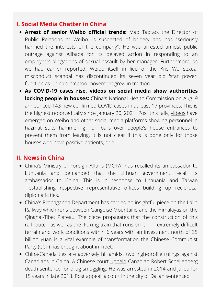#### **I. Social Media Chatter in China**

- **Arrest of senior Weibo official trends:** Mao Taotao, the Director of Public Relations at Weibo, is suspected of bribery and has "seriously harmed the interests of the company". He was **[arrested](https://www.prweek.com/article/1724464/chinese-authorities-arrest-weibo-pr-head-mao-taotao)** amidst public outrage against Alibaba for its delayed action in responding to an employee's allegations of sexual assault by her manager. Furthermore, as we had earlier reported, Weibo itself in lieu of the Kris Wu sexual misconduct scandal has discontinued its seven year old 'star power' function as China's #metoo movement grew in traction.
- **As COVID-19 cases rise, videos on social media show authorities locking people in houses:** China's National Health Commission on Aug. 9 announced 143 new confirmed COVID cases in at least 17 provinces. This is the highest reported tally since January 20, 2021. Post this tally, [videos](https://twitter.com/i/status/1424688234349490179) have emerged on Weibo and other social [media](https://www.taiwannews.com.tw/en/news/4267447) platforms showing personnel in hazmat suits hammering iron bars over people's house entrances to prevent them from leaving. It is not clear if this is done only for those houses who have positive patients, or all.

#### **II. News in China**

- China's Ministry of Foreign Affairs (MOFA) has recalled its ambassador to Lithuania and demanded that the Lithuan government recall its ambassador to China. This is in response to Lithuania and Taiwan establishing respective representative offices building up reciprocal diplomatic ties.
- China's Propaganda Department has carried an *[insightful](http://cpc.people.com.cn/n1/2021/0811/c64387-32188787.html) piece* on the Lalin Railway which runs between Gangdisê Mountains and the Himalayas on the Qinghai-Tibet Plateau. The piece propagates that the construction of this rail route --as well as the Fuxing train that runs on it -- in extremely difficult terrain and work conditions within 6 years with an investment north of 35 billion yuan is a vital example of transformation the Chinese Communist Party (CCP) has brought about in Tibet.
- China-Canada ties are adversely hit amidst two high-profile rulings against Canadians in China. A Chinese court [upheld](https://www.pakistantoday.com.pk/2021/08/10/china-court-upholds-canadians-death-sentence-as-huawei-cfo-fights-extradition/) Canadian Robert Schellenberg death sentence for drug smuggling. He was arrested in 2014 and jailed for 15 years in late 2018. Post appeal, a court in the city of Dalian sentenced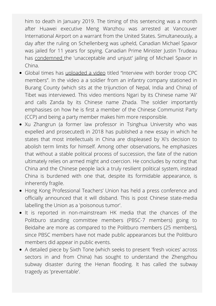him to death in January 2019. The timing of this sentencing was a month after Huawei executive Meng Wanzhou was arrested at Vancouver International Airport on a warrant from the United States. Simultaneously, a day after the ruling on Schellenberg was upheld, Canadian Michael Spavor was jailed for 11 years for spying. Canadian Prime Minister Justin Trudeau has [condemned](https://twitter.com/IndoPac_Info/status/1425338159299141636) the 'unacceptable and unjust' jailing of Michael Spavor in China.

- Global times has [uploaded](https://www.globaltimes.cn/page/202108/1231027.shtml) a video titled "Interview with border troop CPC members". In the video a a soldier from an infantry company stationed in Burang County (which sits at the trijunction of Nepal, India and China) of Tibet was interviewed. This video mentions Ngari by its Chinese name 'Ali' and calls Zanda by its Chinese name Zhada. The soldier importantly emphasises on how he is first a member of the Chinese Communist Party (CCP) and being a party member makes him more responsible.
- Xu Zhangrun (a former law professor in Tsinghua University who was expelled and prosecuted) in 2018 has published a new essay in which he states that most intellectuals in China are displeased by Xi's decision to abolish term limits for himself. Among other observations, he emphasizes that without a stable political process of succession, the fate of the nation ultimately relies on armed might and coercion. He concludes by noting that China and the Chinese people lack a truly resilient political system, instead China is burdened with one that, despite its formidable appearance, is inherently fragile.
- Hong Kong Professional Teachers' Union has held a press conference and officially announced that it will disband. This is post Chinese state-media labelling the Union as a 'poisonous tumor'.
- It is reported in non-mainstream HK media that the chances of the Politburo standing committee members (PBSC-7 members) going to Beidaihe are more as compared to the Politburo members (25 members), since PBSC members have not made public appearances but the Politburo members did appear in public events.
- A detailed piece by Sixth [Tone](https://www.sixthtone.com/news/1008196/inside-the-subway-disaster-that-killed-14-in-central-china) (which seeks to present 'fresh voices' across sectors in and from China) has sought to understand the Zhengzhou subway disaster during the Henan flooding. It has called the subway tragedy as 'preventable'.